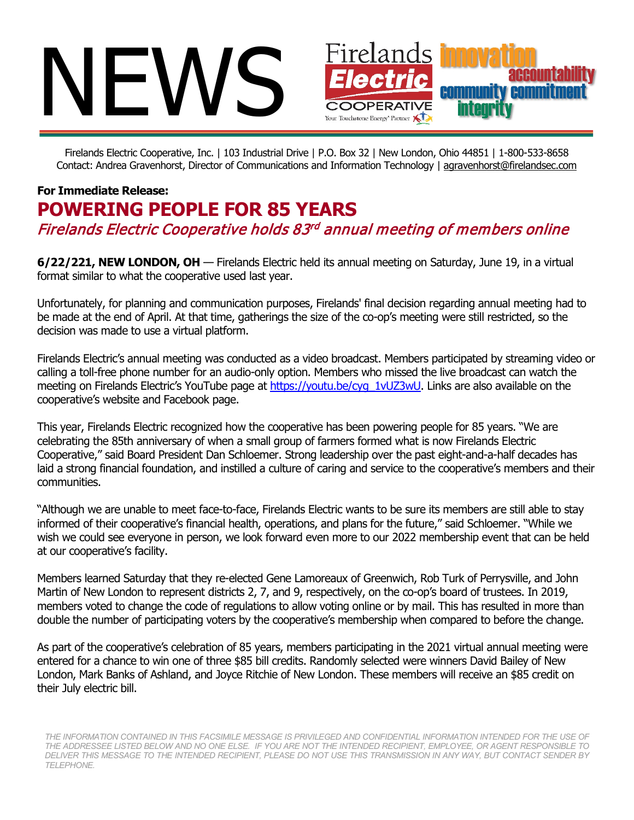

Firelands Electric Cooperative, Inc. | 103 Industrial Drive | P.O. Box 32 | New London, Ohio 44851 | 1-800-533-8658 Contact: Andrea Gravenhorst, Director of Communications and Information Technology | [agravenhorst@firelandsec.com](mailto:agravenhorst@firelandsec.com)

## **For Immediate Release: POWERING PEOPLE FOR 85 YEARS** Firelands Electric Cooperative holds 83rd annual meeting of members online

**6/22/221, NEW LONDON, OH** — Firelands Electric held its annual meeting on Saturday, June 19, in a virtual format similar to what the cooperative used last year.

Unfortunately, for planning and communication purposes, Firelands' final decision regarding annual meeting had to be made at the end of April. At that time, gatherings the size of the co-op's meeting were still restricted, so the decision was made to use a virtual platform.

Firelands Electric's annual meeting was conducted as a video broadcast. Members participated by streaming video or calling a toll-free phone number for an audio-only option. Members who missed the live broadcast can watch the meeting on Firelands Electric's YouTube page at [https://youtu.be/cyg\\_1vUZ3wU.](https://youtu.be/cyg_1vUZ3wU) Links are also available on the cooperative's website and Facebook page.

This year, Firelands Electric recognized how the cooperative has been powering people for 85 years. "We are celebrating the 85th anniversary of when a small group of farmers formed what is now Firelands Electric Cooperative," said Board President Dan Schloemer. Strong leadership over the past eight-and-a-half decades has laid a strong financial foundation, and instilled a culture of caring and service to the cooperative's members and their communities.

"Although we are unable to meet face-to-face, Firelands Electric wants to be sure its members are still able to stay informed of their cooperative's financial health, operations, and plans for the future," said Schloemer. "While we wish we could see everyone in person, we look forward even more to our 2022 membership event that can be held at our cooperative's facility.

Members learned Saturday that they re-elected Gene Lamoreaux of Greenwich, Rob Turk of Perrysville, and John Martin of New London to represent districts 2, 7, and 9, respectively, on the co-op's board of trustees. In 2019, members voted to change the code of regulations to allow voting online or by mail. This has resulted in more than double the number of participating voters by the cooperative's membership when compared to before the change.

As part of the cooperative's celebration of 85 years, members participating in the 2021 virtual annual meeting were entered for a chance to win one of three \$85 bill credits. Randomly selected were winners David Bailey of New London, Mark Banks of Ashland, and Joyce Ritchie of New London. These members will receive an \$85 credit on their July electric bill.

THE INFORMATION CONTAINED IN THIS FACSIMILE MESSAGE IS PRIVILEGED AND CONFIDENTIAL INFORMATION INTENDED FOR THE USE OF *THE ADDRESSEE LISTED BELOW AND NO ONE ELSE. IF YOU ARE NOT THE INTENDED RECIPIENT, EMPLOYEE, OR AGENT RESPONSIBLE TO DELIVER THIS MESSAGE TO THE INTENDED RECIPIENT, PLEASE DO NOT USE THIS TRANSMISSION IN ANY WAY, BUT CONTACT SENDER BY TELEPHONE.*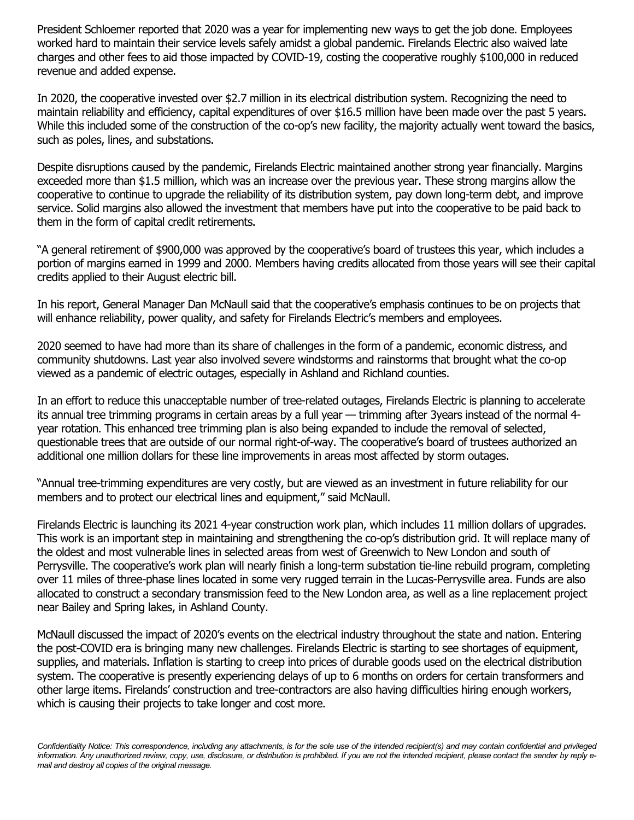President Schloemer reported that 2020 was a year for implementing new ways to get the job done. Employees worked hard to maintain their service levels safely amidst a global pandemic. Firelands Electric also waived late charges and other fees to aid those impacted by COVID-19, costing the cooperative roughly \$100,000 in reduced revenue and added expense.

In 2020, the cooperative invested over \$2.7 million in its electrical distribution system. Recognizing the need to maintain reliability and efficiency, capital expenditures of over \$16.5 million have been made over the past 5 years. While this included some of the construction of the co-op's new facility, the majority actually went toward the basics, such as poles, lines, and substations.

Despite disruptions caused by the pandemic, Firelands Electric maintained another strong year financially. Margins exceeded more than \$1.5 million, which was an increase over the previous year. These strong margins allow the cooperative to continue to upgrade the reliability of its distribution system, pay down long-term debt, and improve service. Solid margins also allowed the investment that members have put into the cooperative to be paid back to them in the form of capital credit retirements.

"A general retirement of \$900,000 was approved by the cooperative's board of trustees this year, which includes a portion of margins earned in 1999 and 2000. Members having credits allocated from those years will see their capital credits applied to their August electric bill.

In his report, General Manager Dan McNaull said that the cooperative's emphasis continues to be on projects that will enhance reliability, power quality, and safety for Firelands Electric's members and employees.

2020 seemed to have had more than its share of challenges in the form of a pandemic, economic distress, and community shutdowns. Last year also involved severe windstorms and rainstorms that brought what the co-op viewed as a pandemic of electric outages, especially in Ashland and Richland counties.

In an effort to reduce this unacceptable number of tree-related outages, Firelands Electric is planning to accelerate its annual tree trimming programs in certain areas by a full year — trimming after 3years instead of the normal 4 year rotation. This enhanced tree trimming plan is also being expanded to include the removal of selected, questionable trees that are outside of our normal right-of-way. The cooperative's board of trustees authorized an additional one million dollars for these line improvements in areas most affected by storm outages.

"Annual tree-trimming expenditures are very costly, but are viewed as an investment in future reliability for our members and to protect our electrical lines and equipment," said McNaull.

Firelands Electric is launching its 2021 4-year construction work plan, which includes 11 million dollars of upgrades. This work is an important step in maintaining and strengthening the co-op's distribution grid. It will replace many of the oldest and most vulnerable lines in selected areas from west of Greenwich to New London and south of Perrysville. The cooperative's work plan will nearly finish a long-term substation tie-line rebuild program, completing over 11 miles of three-phase lines located in some very rugged terrain in the Lucas-Perrysville area. Funds are also allocated to construct a secondary transmission feed to the New London area, as well as a line replacement project near Bailey and Spring lakes, in Ashland County.

McNaull discussed the impact of 2020's events on the electrical industry throughout the state and nation. Entering the post-COVID era is bringing many new challenges. Firelands Electric is starting to see shortages of equipment, supplies, and materials. Inflation is starting to creep into prices of durable goods used on the electrical distribution system. The cooperative is presently experiencing delays of up to 6 months on orders for certain transformers and other large items. Firelands' construction and tree-contractors are also having difficulties hiring enough workers, which is causing their projects to take longer and cost more.

Confidentiality Notice: This correspondence, including any attachments, is for the sole use of the intended recipient(s) and may contain confidential and privileged *information. Any unauthorized review, copy, use, disclosure, or distribution is prohibited. If you are not the intended recipient, please contact the sender by reply email and destroy all copies of the original message.*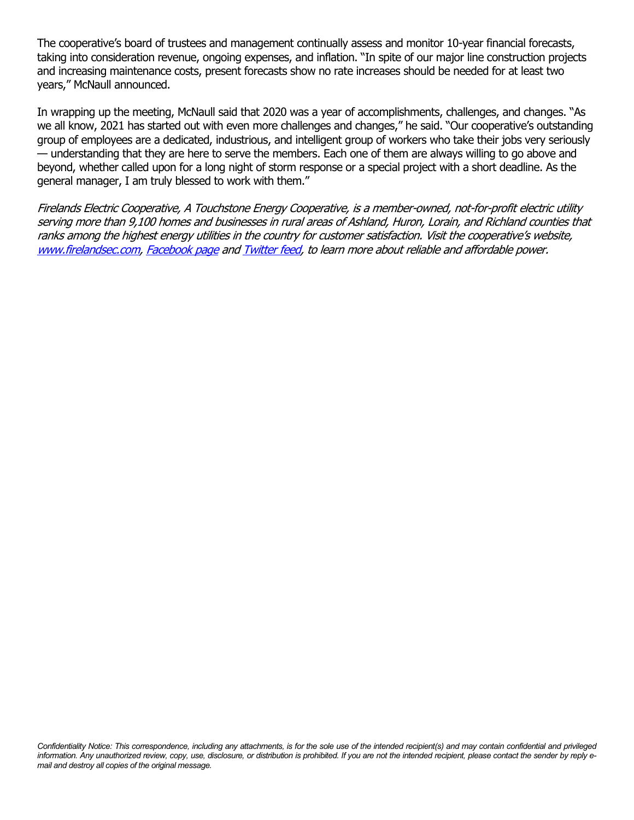The cooperative's board of trustees and management continually assess and monitor 10-year financial forecasts, taking into consideration revenue, ongoing expenses, and inflation. "In spite of our major line construction projects and increasing maintenance costs, present forecasts show no rate increases should be needed for at least two years," McNaull announced.

In wrapping up the meeting, McNaull said that 2020 was a year of accomplishments, challenges, and changes. "As we all know, 2021 has started out with even more challenges and changes," he said. "Our cooperative's outstanding group of employees are a dedicated, industrious, and intelligent group of workers who take their jobs very seriously — understanding that they are here to serve the members. Each one of them are always willing to go above and beyond, whether called upon for a long night of storm response or a special project with a short deadline. As the general manager, I am truly blessed to work with them."

Firelands Electric Cooperative, A Touchstone Energy Cooperative, is a member-owned, not-for-profit electric utility serving more than 9,100 homes and businesses in rural areas of Ashland, Huron, Lorain, and Richland counties that ranks among the highest energy utilities in the country for customer satisfaction. Visit the cooperative's website, [www.firelandsec.com,](http://www.firelandsec.com/) [Facebook page](https://www.facebook.com/pages/Firelands-Electric-Cooperative-Inc/45745699429?sk=wall) an[d Twitter feed,](https://twitter.com/Firelands) to learn more about reliable and affordable power.